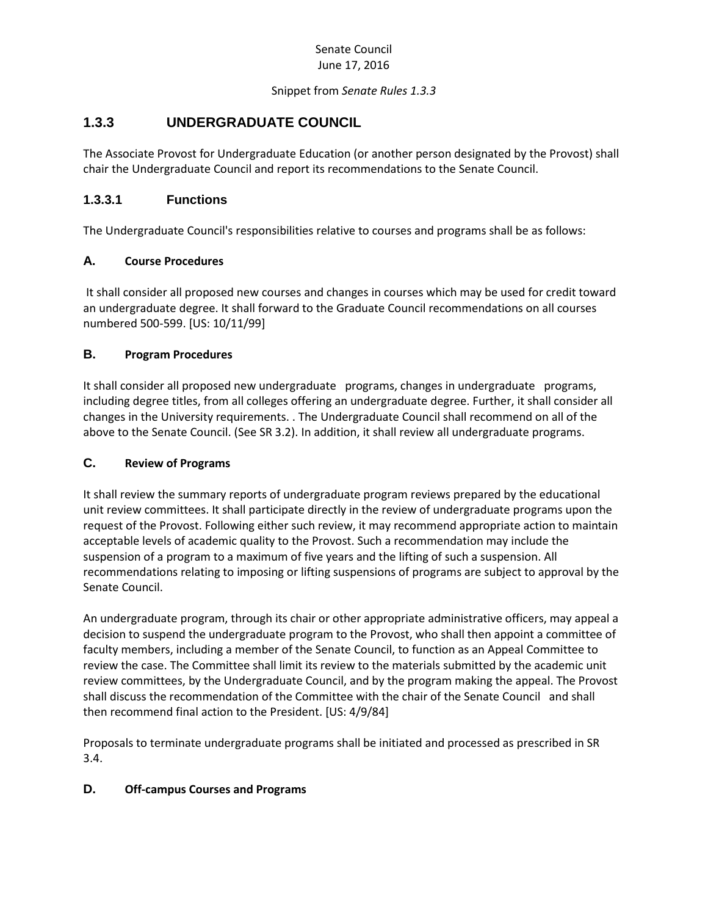#### Senate Council June 17, 2016

#### Snippet from *Senate Rules 1.3.3*

# **1.3.3 UNDERGRADUATE COUNCIL**

The Associate Provost for Undergraduate Education (or another person designated by the Provost) shall chair the Undergraduate Council and report its recommendations to the Senate Council.

## **1.3.3.1 Functions**

The Undergraduate Council's responsibilities relative to courses and programs shall be as follows:

#### **A. Course Procedures**

It shall consider all proposed new courses and changes in courses which may be used for credit toward an undergraduate degree. It shall forward to the Graduate Council recommendations on all courses numbered 500-599. [US: 10/11/99]

#### **B. Program Procedures**

It shall consider all proposed new undergraduate programs, changes in undergraduate programs, including degree titles, from all colleges offering an undergraduate degree. Further, it shall consider all changes in the University requirements. . The Undergraduate Council shall recommend on all of the above to the Senate Council. (See SR 3.2). In addition, it shall review all undergraduate programs.

#### **C. Review of Programs**

It shall review the summary reports of undergraduate program reviews prepared by the educational unit review committees. It shall participate directly in the review of undergraduate programs upon the request of the Provost. Following either such review, it may recommend appropriate action to maintain acceptable levels of academic quality to the Provost. Such a recommendation may include the suspension of a program to a maximum of five years and the lifting of such a suspension. All recommendations relating to imposing or lifting suspensions of programs are subject to approval by the Senate Council.

An undergraduate program, through its chair or other appropriate administrative officers, may appeal a decision to suspend the undergraduate program to the Provost, who shall then appoint a committee of faculty members, including a member of the Senate Council, to function as an Appeal Committee to review the case. The Committee shall limit its review to the materials submitted by the academic unit review committees, by the Undergraduate Council, and by the program making the appeal. The Provost shall discuss the recommendation of the Committee with the chair of the Senate Council and shall then recommend final action to the President. [US: 4/9/84]

Proposals to terminate undergraduate programs shall be initiated and processed as prescribed in SR 3.4.

#### **D. Off-campus Courses and Programs**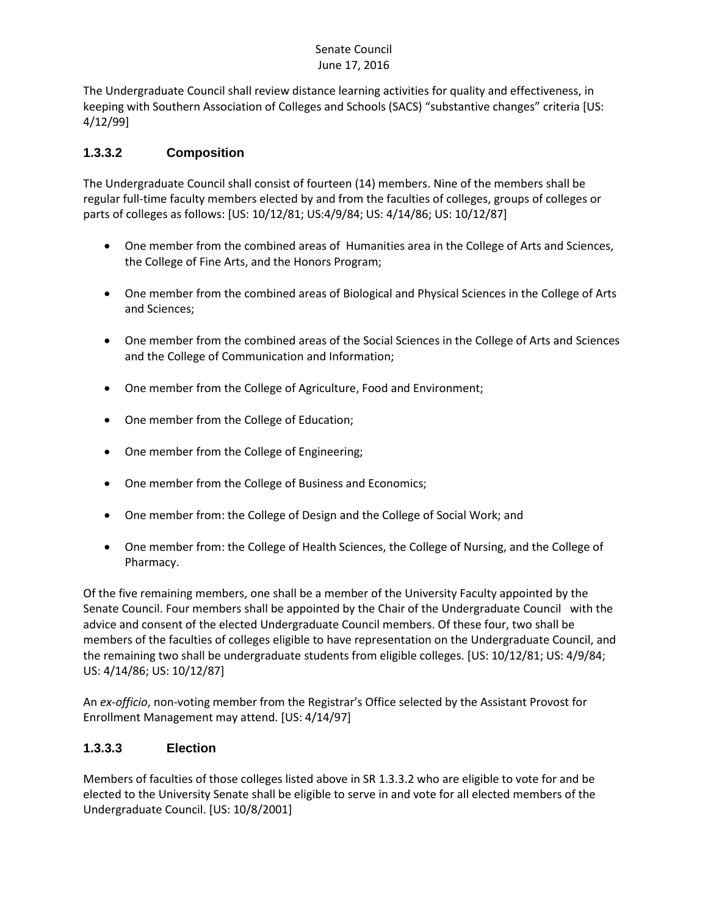#### Senate Council June 17, 2016

The Undergraduate Council shall review distance learning activities for quality and effectiveness, in keeping with Southern Association of Colleges and Schools (SACS) "substantive changes" criteria [US: 4/12/99]

## **1.3.3.2 Composition**

The Undergraduate Council shall consist of fourteen (14) members. Nine of the members shall be regular full-time faculty members elected by and from the faculties of colleges, groups of colleges or parts of colleges as follows: [US: 10/12/81; US:4/9/84; US: 4/14/86; US: 10/12/87]

- One member from the combined areas of Humanities area in the College of Arts and Sciences, the College of Fine Arts, and the Honors Program;
- One member from the combined areas of Biological and Physical Sciences in the College of Arts and Sciences;
- One member from the combined areas of the Social Sciences in the College of Arts and Sciences and the College of Communication and Information;
- One member from the College of Agriculture, Food and Environment;
- One member from the College of Education;
- One member from the College of Engineering;
- One member from the College of Business and Economics;
- One member from: the College of Design and the College of Social Work; and
- One member from: the College of Health Sciences, the College of Nursing, and the College of Pharmacy.

Of the five remaining members, one shall be a member of the University Faculty appointed by the Senate Council. Four members shall be appointed by the Chair of the Undergraduate Council with the advice and consent of the elected Undergraduate Council members. Of these four, two shall be members of the faculties of colleges eligible to have representation on the Undergraduate Council, and the remaining two shall be undergraduate students from eligible colleges. [US: 10/12/81; US: 4/9/84; US: 4/14/86; US: 10/12/87]

An *ex-officio*, non-voting member from the Registrar's Office selected by the Assistant Provost for Enrollment Management may attend. [US: 4/14/97]

# **1.3.3.3 Election**

Members of faculties of those colleges listed above in SR 1.3.3.2 who are eligible to vote for and be elected to the University Senate shall be eligible to serve in and vote for all elected members of the Undergraduate Council. [US: 10/8/2001]